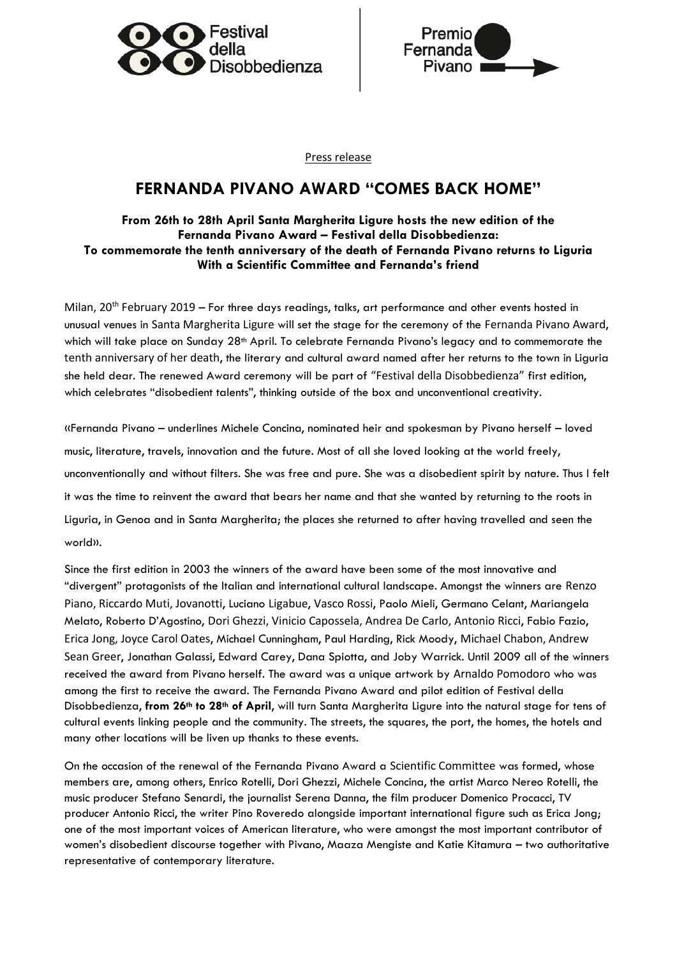



Press release

## **FERNANDA PIVANO AWARD "COMES BACK HOME"**

## **From 26th to 28th April Santa Margherita Ligure hosts the new edition of the Fernanda Pivano Award – Festival della Disobbedienza: To commemorate the tenth anniversary of the death of Fernanda Pivano returns to Liguria With a Scientific Committee and Fernanda's friend**

Milan, 20<sup>th</sup> February 2019 – For three days readings, talks, art performance and other events hosted in unusual venues in Santa Margherita Ligure will set the stage for the ceremony of the Fernanda Pivano Award, which will take place on Sunday 28<sup>th</sup> April. To celebrate Fernanda Pivano's legacy and to commemorate the tenth anniversary of her death, the literary and cultural award named after her returns to the town in Liguria she held dear. The renewed Award ceremony will be part of "Festival della Disobbedienza" first edition, which celebrates "disobedient talents", thinking outside of the box and unconventional creativity.

«Fernanda Pivano – underlines Michele Concina, nominated heir and spokesman by Pivano herself – loved music, literature, travels, innovation and the future. Most of all she loved looking at the world freely, unconventionally and without filters. She was free and pure. She was a disobedient spirit by nature. Thus I felt it was the time to reinvent the award that bears her name and that she wanted by returning to the roots in Liguria, in Genoa and in Santa Margherita; the places she returned to after having travelled and seen the world».

Since the first edition in 2003 the winners of the award have been some of the most innovative and "divergent" protagonists of the Italian and international cultural landscape. Amongst the winners are Renzo Piano, Riccardo Muti, Jovanotti, Luciano Ligabue, Vasco Rossi, Paolo Mieli, Germano Celant, Mariangela Melato, Roberto D'Agostino, Dori Ghezzi, Vinicio Capossela, Andrea De Carlo, Antonio Ricci, Fabio Fazio, Erica Jong, Joyce Carol Oates, Michael Cunningham, Paul Harding, Rick Moody, Michael Chabon, Andrew Sean Greer, Jonathan Galassi, Edward Carey, Dana Spiotta, and Joby Warrick. Until 2009 all of the winners received the award from Pivano herself. The award was a unique artwork by Arnaldo Pomodoro who was among the first to receive the award. The Fernanda Pivano Award and pilot edition of Festival della Disobbedienza, **from 26th to 28th of April**, will turn Santa Margherita Ligure into the natural stage for tens of cultural events linking people and the community. The streets, the squares, the port, the homes, the hotels and many other locations will be liven up thanks to these events.

On the occasion of the renewal of the Fernanda Pivano Award a Scientific Committee was formed, whose members are, among others, Enrico Rotelli, Dori Ghezzi, Michele Concina, the artist Marco Nereo Rotelli, the music producer Stefano Senardi, the journalist Serena Danna, the film producer Domenico Procacci, TV producer Antonio Ricci, the writer Pino Roveredo alongside important international figure such as Erica Jong; one of the most important voices of American literature, who were amongst the most important contributor of women's disobedient discourse together with Pivano, Maaza Mengiste and Katie Kitamura – two authoritative representative of contemporary literature.